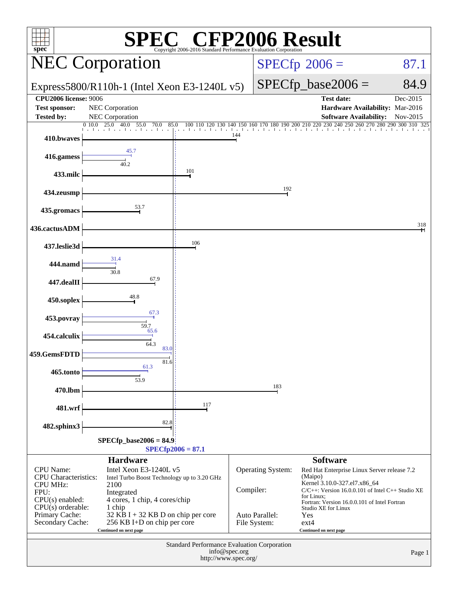| $\mathbb{C}^{\circ}$ CFP2006 Result<br>spec <sup>®</sup><br>Copyright 2006-2016 Standard Performance E |                                                                                             |                      |                        |                                |                                                                                       |                 |  |
|--------------------------------------------------------------------------------------------------------|---------------------------------------------------------------------------------------------|----------------------|------------------------|--------------------------------|---------------------------------------------------------------------------------------|-----------------|--|
|                                                                                                        | <b>NEC Corporation</b>                                                                      |                      | $SPECfp^{\circ}2006 =$ | 87.1                           |                                                                                       |                 |  |
|                                                                                                        | Express5800/R110h-1 (Intel Xeon E3-1240L v5)                                                |                      | $SPECfp\_base2006 =$   | 84.9                           |                                                                                       |                 |  |
| <b>CPU2006 license: 9006</b>                                                                           |                                                                                             |                      |                        |                                | <b>Test date:</b>                                                                     | Dec-2015        |  |
| <b>Test sponsor:</b>                                                                                   | NEC Corporation                                                                             |                      |                        |                                | Hardware Availability: Mar-2016                                                       |                 |  |
| <b>Tested by:</b><br>0.10.0                                                                            | NEC Corporation<br>25.0<br>55.0<br>70.0<br>85.0                                             |                      | 40 150                 | 180<br>200                     | <b>Software Availability:</b>                                                         | Nov-2015<br>290 |  |
| 410.bwaves                                                                                             |                                                                                             |                      | 144                    |                                |                                                                                       |                 |  |
| 416.gamess                                                                                             | 45.7<br>40.2                                                                                |                      |                        |                                |                                                                                       |                 |  |
| 433.milc                                                                                               |                                                                                             | 101                  |                        |                                |                                                                                       |                 |  |
| 434.zeusmp                                                                                             |                                                                                             |                      |                        | 192                            |                                                                                       |                 |  |
| 435.gromacs                                                                                            | 53.7                                                                                        |                      |                        |                                |                                                                                       |                 |  |
| 436.cactusADM                                                                                          |                                                                                             |                      |                        |                                |                                                                                       | 318             |  |
| 437.leslie3d                                                                                           | 31.4                                                                                        | 106                  |                        |                                |                                                                                       |                 |  |
| 444.namd                                                                                               | 30.8                                                                                        |                      |                        |                                |                                                                                       |                 |  |
| 447.dealII                                                                                             | 67.9                                                                                        |                      |                        |                                |                                                                                       |                 |  |
| 450.soplex                                                                                             | 48.8<br>67.3                                                                                |                      |                        |                                |                                                                                       |                 |  |
| 453.povray                                                                                             | 59.7<br>65.6                                                                                |                      |                        |                                |                                                                                       |                 |  |
| 454.calculix                                                                                           | 64.3<br>83.0                                                                                |                      |                        |                                |                                                                                       |                 |  |
| 459.GemsFDTD                                                                                           | 81.6<br>61.3                                                                                |                      |                        |                                |                                                                                       |                 |  |
| 465.tonto                                                                                              | 53.9                                                                                        |                      |                        | 183                            |                                                                                       |                 |  |
| 470.lbm                                                                                                |                                                                                             | 117                  |                        |                                |                                                                                       |                 |  |
| 481.wrf<br>482.sphinx3                                                                                 | 82.8                                                                                        |                      |                        |                                |                                                                                       |                 |  |
|                                                                                                        | $SPECfp\_base2006 = 84.9$                                                                   |                      |                        |                                |                                                                                       |                 |  |
|                                                                                                        |                                                                                             | $SPECfp2006 = 87.1$  |                        |                                |                                                                                       |                 |  |
|                                                                                                        | <b>Hardware</b>                                                                             |                      |                        |                                | <b>Software</b>                                                                       |                 |  |
| <b>CPU</b> Name:<br><b>CPU</b> Characteristics:                                                        | Intel Xeon E3-1240L v5<br>Intel Turbo Boost Technology up to 3.20 GHz                       |                      |                        | Operating System:              | Red Hat Enterprise Linux Server release 7.2<br>(Maipo)                                |                 |  |
| <b>CPU MHz:</b>                                                                                        | 2100                                                                                        |                      | Compiler:              |                                | Kernel 3.10.0-327.el7.x86_64<br>$C/C++$ : Version 16.0.0.101 of Intel $C++$ Studio XE |                 |  |
| FPU:<br>$CPU(s)$ enabled:                                                                              | Integrated<br>4 cores, 1 chip, 4 cores/chip                                                 |                      |                        |                                | for Linux;<br>Fortran: Version 16.0.0.101 of Intel Fortran                            |                 |  |
| $CPU(s)$ orderable:                                                                                    | 1 chip                                                                                      |                      |                        |                                | Studio XE for Linux                                                                   |                 |  |
| Primary Cache:<br>Secondary Cache:                                                                     | 32 KB I + 32 KB D on chip per core<br>256 KB I+D on chip per core<br>Continued on next page |                      |                        | Auto Parallel:<br>File System: | Yes<br>$ext{4}$<br>Continued on next page                                             |                 |  |
| Standard Performance Evaluation Corporation                                                            |                                                                                             |                      |                        |                                |                                                                                       |                 |  |
|                                                                                                        |                                                                                             | http://www.spec.org/ | info@spec.org          |                                |                                                                                       | Page 1          |  |
|                                                                                                        |                                                                                             |                      |                        |                                |                                                                                       |                 |  |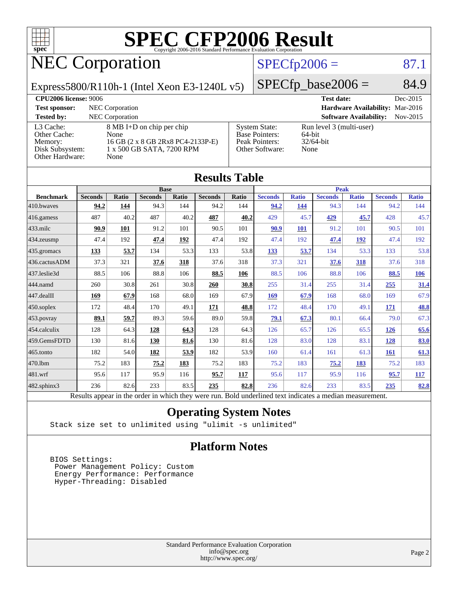

### NEC Corporation

### $SPECfp2006 = 87.1$  $SPECfp2006 = 87.1$

Express5800/R110h-1 (Intel Xeon E3-1240L v5)

 $SPECTp\_base2006 = 84.9$ 

| <b>CPU2006 license: 9006</b>                                               |                                                                                                             |                                                                                    | <b>Test date:</b><br>Dec-2015                              |  |
|----------------------------------------------------------------------------|-------------------------------------------------------------------------------------------------------------|------------------------------------------------------------------------------------|------------------------------------------------------------|--|
| <b>Test sponsor:</b>                                                       | NEC Corporation                                                                                             |                                                                                    | Hardware Availability: Mar-2016                            |  |
| <b>Tested by:</b>                                                          | <b>NEC</b> Corporation                                                                                      |                                                                                    | <b>Software Availability:</b><br>$Nov-2015$                |  |
| L3 Cache:<br>Other Cache:<br>Memory:<br>Disk Subsystem:<br>Other Hardware: | 8 MB I+D on chip per chip<br>None<br>16 GB (2 x 8 GB 2Rx8 PC4-2133P-E)<br>1 x 500 GB SATA, 7200 RPM<br>None | <b>System State:</b><br><b>Base Pointers:</b><br>Peak Pointers:<br>Other Software: | Run level 3 (multi-user)<br>64-bit<br>$32/64$ -bit<br>None |  |

| <b>Results Table</b>                                                                                     |                |              |                |            |                |             |                |              |                |              |                |              |
|----------------------------------------------------------------------------------------------------------|----------------|--------------|----------------|------------|----------------|-------------|----------------|--------------|----------------|--------------|----------------|--------------|
|                                                                                                          | <b>Base</b>    |              |                |            |                | <b>Peak</b> |                |              |                |              |                |              |
| <b>Benchmark</b>                                                                                         | <b>Seconds</b> | <b>Ratio</b> | <b>Seconds</b> | Ratio      | <b>Seconds</b> | Ratio       | <b>Seconds</b> | <b>Ratio</b> | <b>Seconds</b> | <b>Ratio</b> | <b>Seconds</b> | <b>Ratio</b> |
| $ 410$ .bwayes                                                                                           | 94.2           | 144          | 94.3           | 144        | 94.2           | 144         | 94.2           | 144          | 94.3           | 144          | 94.2           | 144          |
| 416.gamess                                                                                               | 487            | 40.2         | 487            | 40.2       | 487            | 40.2        | 429            | 45.7         | 429            | 45.7         | 428            | 45.7         |
| $433$ .milc                                                                                              | 90.9           | 101          | 91.2           | 101        | 90.5           | 101         | 90.9           | <b>101</b>   | 91.2           | 101          | 90.5           | 101          |
| $434$ . zeusmp                                                                                           | 47.4           | 192          | 47.4           | <u>192</u> | 47.4           | 192         | 47.4           | 192          | 47.4           | <u>192</u>   | 47.4           | 192          |
| $435.$ gromacs                                                                                           | 133            | 53.7         | 134            | 53.3       | 133            | 53.8        | 133            | 53.7         | 134            | 53.3         | 133            | 53.8         |
| 436.cactusADM                                                                                            | 37.3           | 321          | 37.6           | 318        | 37.6           | 318         | 37.3           | 321          | 37.6           | 318          | 37.6           | 318          |
| 437.leslie3d                                                                                             | 88.5           | 106          | 88.8           | 106        | 88.5           | 106         | 88.5           | 106          | 88.8           | 106          | 88.5           | 106          |
| 444.namd                                                                                                 | 260            | 30.8         | 261            | 30.8       | 260            | 30.8        | 255            | 31.4         | 255            | 31.4         | 255            | 31.4         |
| $ 447 \text{.}$ dealII                                                                                   | 169            | 67.9         | 168            | 68.0       | 169            | 67.9        | 169            | 67.9         | 168            | 68.0         | 169            | 67.9         |
| $450$ .soplex                                                                                            | 172            | 48.4         | 170            | 49.1       | 171            | 48.8        | 172            | 48.4         | 170            | 49.1         | 171            | 48.8         |
| $453$ .povray                                                                                            | 89.1           | 59.7         | 89.3           | 59.6       | 89.0           | 59.8        | 79.1           | 67.3         | 80.1           | 66.4         | 79.0           | 67.3         |
| $ 454$ .calculix                                                                                         | 128            | 64.3         | 128            | 64.3       | 128            | 64.3        | 126            | 65.7         | 126            | 65.5         | <b>126</b>     | 65.6         |
| 459.GemsFDTD                                                                                             | 130            | 81.6         | 130            | 81.6       | 130            | 81.6        | 128            | 83.0         | 128            | 83.1         | 128            | 83.0         |
| $465$ .tonto                                                                                             | 182            | 54.0         | 182            | 53.9       | 182            | 53.9        | 160            | 61.4         | 161            | 61.3         | 161            | 61.3         |
| 470.1bm                                                                                                  | 75.2           | 183          | 75.2           | 183        | 75.2           | 183         | 75.2           | 183          | 75.2           | <u>183</u>   | 75.2           | 183          |
| 481.wrf                                                                                                  | 95.6           | 117          | 95.9           | 116        | 95.7           | 117         | 95.6           | 117          | 95.9           | 116          | 95.7           | 117          |
| $482$ .sphinx $3$                                                                                        | 236            | 82.6         | 233            | 83.5       | 235            | 82.8        | 236            | 82.6         | 233            | 83.5         | 235            | 82.8         |
| Results appear in the order in which they were run. Bold underlined text indicates a median measurement. |                |              |                |            |                |             |                |              |                |              |                |              |

#### **[Operating System Notes](http://www.spec.org/auto/cpu2006/Docs/result-fields.html#OperatingSystemNotes)**

Stack size set to unlimited using "ulimit -s unlimited"

### **[Platform Notes](http://www.spec.org/auto/cpu2006/Docs/result-fields.html#PlatformNotes)**

 BIOS Settings: Power Management Policy: Custom Energy Performance: Performance Hyper-Threading: Disabled

> Standard Performance Evaluation Corporation [info@spec.org](mailto:info@spec.org) <http://www.spec.org/>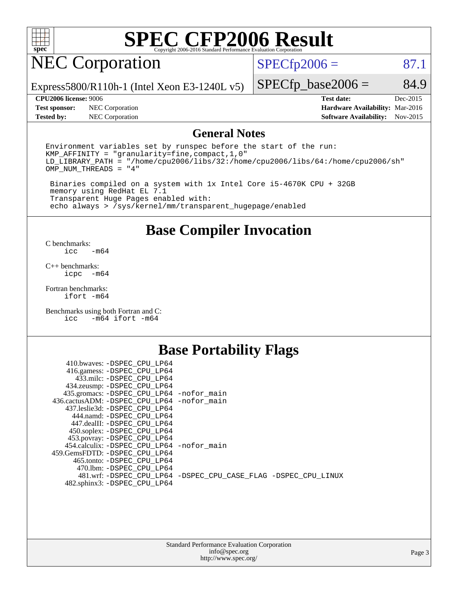

### NEC Corporation

 $SPECTp2006 = 87.1$ 

Express5800/R110h-1 (Intel Xeon E3-1240L v5)

#### **[CPU2006 license:](http://www.spec.org/auto/cpu2006/Docs/result-fields.html#CPU2006license)** 9006 **[Test date:](http://www.spec.org/auto/cpu2006/Docs/result-fields.html#Testdate)** Dec-2015

 $SPECTp\_base2006 = 84.9$ 

| UPUZUUD HCENSE: 9000 |                                      | Test date:                             | Dec-2015 |
|----------------------|--------------------------------------|----------------------------------------|----------|
|                      | <b>Test sponsor:</b> NEC Corporation | <b>Hardware Availability: Mar-2016</b> |          |
| <b>Tested by:</b>    | NEC Corporation                      | <b>Software Availability:</b> Nov-2015 |          |

#### **[General Notes](http://www.spec.org/auto/cpu2006/Docs/result-fields.html#GeneralNotes)**

Environment variables set by runspec before the start of the run: KMP\_AFFINITY = "granularity=fine,compact,1,0" LD\_LIBRARY\_PATH = "/home/cpu2006/libs/32:/home/cpu2006/libs/64:/home/cpu2006/sh" OMP\_NUM\_THREADS = "4"

 Binaries compiled on a system with 1x Intel Core i5-4670K CPU + 32GB memory using RedHat EL 7.1 Transparent Huge Pages enabled with: echo always > /sys/kernel/mm/transparent\_hugepage/enabled

### **[Base Compiler Invocation](http://www.spec.org/auto/cpu2006/Docs/result-fields.html#BaseCompilerInvocation)**

[C benchmarks](http://www.spec.org/auto/cpu2006/Docs/result-fields.html#Cbenchmarks):  $-m64$ 

[C++ benchmarks:](http://www.spec.org/auto/cpu2006/Docs/result-fields.html#CXXbenchmarks) [icpc -m64](http://www.spec.org/cpu2006/results/res2016q1/cpu2006-20160125-38804.flags.html#user_CXXbase_intel_icpc_64bit_bedb90c1146cab66620883ef4f41a67e)

[Fortran benchmarks](http://www.spec.org/auto/cpu2006/Docs/result-fields.html#Fortranbenchmarks): [ifort -m64](http://www.spec.org/cpu2006/results/res2016q1/cpu2006-20160125-38804.flags.html#user_FCbase_intel_ifort_64bit_ee9d0fb25645d0210d97eb0527dcc06e)

[Benchmarks using both Fortran and C](http://www.spec.org/auto/cpu2006/Docs/result-fields.html#BenchmarksusingbothFortranandC): [icc -m64](http://www.spec.org/cpu2006/results/res2016q1/cpu2006-20160125-38804.flags.html#user_CC_FCbase_intel_icc_64bit_0b7121f5ab7cfabee23d88897260401c) [ifort -m64](http://www.spec.org/cpu2006/results/res2016q1/cpu2006-20160125-38804.flags.html#user_CC_FCbase_intel_ifort_64bit_ee9d0fb25645d0210d97eb0527dcc06e)

### **[Base Portability Flags](http://www.spec.org/auto/cpu2006/Docs/result-fields.html#BasePortabilityFlags)**

| 410.bwaves: -DSPEC CPU LP64                 |                                                                |
|---------------------------------------------|----------------------------------------------------------------|
| 416.gamess: -DSPEC_CPU_LP64                 |                                                                |
| 433.milc: -DSPEC CPU LP64                   |                                                                |
| 434.zeusmp: -DSPEC_CPU_LP64                 |                                                                |
| 435.gromacs: -DSPEC_CPU_LP64 -nofor_main    |                                                                |
| 436.cactusADM: -DSPEC CPU LP64 -nofor main  |                                                                |
| 437.leslie3d: -DSPEC CPU LP64               |                                                                |
| 444.namd: -DSPEC CPU LP64                   |                                                                |
| 447.dealII: -DSPEC CPU LP64                 |                                                                |
| 450.soplex: -DSPEC_CPU_LP64                 |                                                                |
| 453.povray: -DSPEC_CPU_LP64                 |                                                                |
| 454.calculix: - DSPEC CPU LP64 - nofor main |                                                                |
| 459.GemsFDTD: -DSPEC_CPU_LP64               |                                                                |
| 465.tonto: - DSPEC CPU LP64                 |                                                                |
| 470.1bm: - DSPEC CPU LP64                   |                                                                |
|                                             | 481.wrf: -DSPEC CPU_LP64 -DSPEC_CPU_CASE_FLAG -DSPEC_CPU_LINUX |
| 482.sphinx3: -DSPEC_CPU_LP64                |                                                                |
|                                             |                                                                |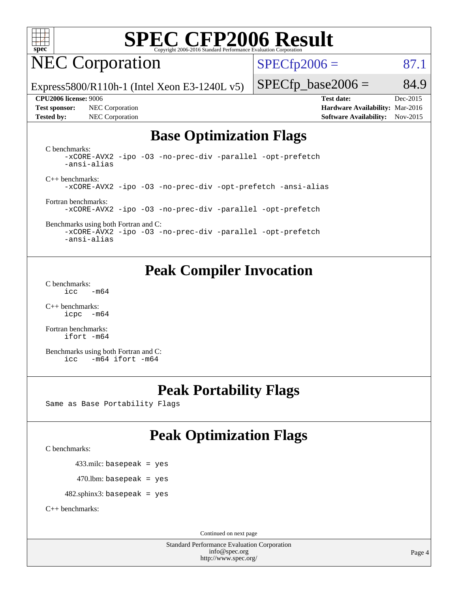

### NEC Corporation

 $SPECTp2006 = 87.1$ 

Express5800/R110h-1 (Intel Xeon E3-1240L v5)

**[Test sponsor:](http://www.spec.org/auto/cpu2006/Docs/result-fields.html#Testsponsor)** NEC Corporation **[Hardware Availability:](http://www.spec.org/auto/cpu2006/Docs/result-fields.html#HardwareAvailability)** Mar-2016 **[Tested by:](http://www.spec.org/auto/cpu2006/Docs/result-fields.html#Testedby)** NEC Corporation **[Software Availability:](http://www.spec.org/auto/cpu2006/Docs/result-fields.html#SoftwareAvailability)** Nov-2015

 $SPECfp\_base2006 = 84.9$ **[CPU2006 license:](http://www.spec.org/auto/cpu2006/Docs/result-fields.html#CPU2006license)** 9006 **[Test date:](http://www.spec.org/auto/cpu2006/Docs/result-fields.html#Testdate)** Dec-2015

### **[Base Optimization Flags](http://www.spec.org/auto/cpu2006/Docs/result-fields.html#BaseOptimizationFlags)**

[C benchmarks](http://www.spec.org/auto/cpu2006/Docs/result-fields.html#Cbenchmarks): [-xCORE-AVX2](http://www.spec.org/cpu2006/results/res2016q1/cpu2006-20160125-38804.flags.html#user_CCbase_f-xAVX2_5f5fc0cbe2c9f62c816d3e45806c70d7) [-ipo](http://www.spec.org/cpu2006/results/res2016q1/cpu2006-20160125-38804.flags.html#user_CCbase_f-ipo) [-O3](http://www.spec.org/cpu2006/results/res2016q1/cpu2006-20160125-38804.flags.html#user_CCbase_f-O3) [-no-prec-div](http://www.spec.org/cpu2006/results/res2016q1/cpu2006-20160125-38804.flags.html#user_CCbase_f-no-prec-div) [-parallel](http://www.spec.org/cpu2006/results/res2016q1/cpu2006-20160125-38804.flags.html#user_CCbase_f-parallel) [-opt-prefetch](http://www.spec.org/cpu2006/results/res2016q1/cpu2006-20160125-38804.flags.html#user_CCbase_f-opt-prefetch) [-ansi-alias](http://www.spec.org/cpu2006/results/res2016q1/cpu2006-20160125-38804.flags.html#user_CCbase_f-ansi-alias)

[C++ benchmarks:](http://www.spec.org/auto/cpu2006/Docs/result-fields.html#CXXbenchmarks) [-xCORE-AVX2](http://www.spec.org/cpu2006/results/res2016q1/cpu2006-20160125-38804.flags.html#user_CXXbase_f-xAVX2_5f5fc0cbe2c9f62c816d3e45806c70d7) [-ipo](http://www.spec.org/cpu2006/results/res2016q1/cpu2006-20160125-38804.flags.html#user_CXXbase_f-ipo) [-O3](http://www.spec.org/cpu2006/results/res2016q1/cpu2006-20160125-38804.flags.html#user_CXXbase_f-O3) [-no-prec-div](http://www.spec.org/cpu2006/results/res2016q1/cpu2006-20160125-38804.flags.html#user_CXXbase_f-no-prec-div) [-opt-prefetch](http://www.spec.org/cpu2006/results/res2016q1/cpu2006-20160125-38804.flags.html#user_CXXbase_f-opt-prefetch) [-ansi-alias](http://www.spec.org/cpu2006/results/res2016q1/cpu2006-20160125-38804.flags.html#user_CXXbase_f-ansi-alias)

[Fortran benchmarks](http://www.spec.org/auto/cpu2006/Docs/result-fields.html#Fortranbenchmarks): [-xCORE-AVX2](http://www.spec.org/cpu2006/results/res2016q1/cpu2006-20160125-38804.flags.html#user_FCbase_f-xAVX2_5f5fc0cbe2c9f62c816d3e45806c70d7) [-ipo](http://www.spec.org/cpu2006/results/res2016q1/cpu2006-20160125-38804.flags.html#user_FCbase_f-ipo) [-O3](http://www.spec.org/cpu2006/results/res2016q1/cpu2006-20160125-38804.flags.html#user_FCbase_f-O3) [-no-prec-div](http://www.spec.org/cpu2006/results/res2016q1/cpu2006-20160125-38804.flags.html#user_FCbase_f-no-prec-div) [-parallel](http://www.spec.org/cpu2006/results/res2016q1/cpu2006-20160125-38804.flags.html#user_FCbase_f-parallel) [-opt-prefetch](http://www.spec.org/cpu2006/results/res2016q1/cpu2006-20160125-38804.flags.html#user_FCbase_f-opt-prefetch)

[Benchmarks using both Fortran and C](http://www.spec.org/auto/cpu2006/Docs/result-fields.html#BenchmarksusingbothFortranandC): [-xCORE-AVX2](http://www.spec.org/cpu2006/results/res2016q1/cpu2006-20160125-38804.flags.html#user_CC_FCbase_f-xAVX2_5f5fc0cbe2c9f62c816d3e45806c70d7) [-ipo](http://www.spec.org/cpu2006/results/res2016q1/cpu2006-20160125-38804.flags.html#user_CC_FCbase_f-ipo) [-O3](http://www.spec.org/cpu2006/results/res2016q1/cpu2006-20160125-38804.flags.html#user_CC_FCbase_f-O3) [-no-prec-div](http://www.spec.org/cpu2006/results/res2016q1/cpu2006-20160125-38804.flags.html#user_CC_FCbase_f-no-prec-div) [-parallel](http://www.spec.org/cpu2006/results/res2016q1/cpu2006-20160125-38804.flags.html#user_CC_FCbase_f-parallel) [-opt-prefetch](http://www.spec.org/cpu2006/results/res2016q1/cpu2006-20160125-38804.flags.html#user_CC_FCbase_f-opt-prefetch) [-ansi-alias](http://www.spec.org/cpu2006/results/res2016q1/cpu2006-20160125-38804.flags.html#user_CC_FCbase_f-ansi-alias)

### **[Peak Compiler Invocation](http://www.spec.org/auto/cpu2006/Docs/result-fields.html#PeakCompilerInvocation)**

[C benchmarks](http://www.spec.org/auto/cpu2006/Docs/result-fields.html#Cbenchmarks):  $\text{icc}$   $-\text{m64}$ 

[C++ benchmarks:](http://www.spec.org/auto/cpu2006/Docs/result-fields.html#CXXbenchmarks) [icpc -m64](http://www.spec.org/cpu2006/results/res2016q1/cpu2006-20160125-38804.flags.html#user_CXXpeak_intel_icpc_64bit_bedb90c1146cab66620883ef4f41a67e)

[Fortran benchmarks](http://www.spec.org/auto/cpu2006/Docs/result-fields.html#Fortranbenchmarks): [ifort -m64](http://www.spec.org/cpu2006/results/res2016q1/cpu2006-20160125-38804.flags.html#user_FCpeak_intel_ifort_64bit_ee9d0fb25645d0210d97eb0527dcc06e)

[Benchmarks using both Fortran and C](http://www.spec.org/auto/cpu2006/Docs/result-fields.html#BenchmarksusingbothFortranandC): [icc -m64](http://www.spec.org/cpu2006/results/res2016q1/cpu2006-20160125-38804.flags.html#user_CC_FCpeak_intel_icc_64bit_0b7121f5ab7cfabee23d88897260401c) [ifort -m64](http://www.spec.org/cpu2006/results/res2016q1/cpu2006-20160125-38804.flags.html#user_CC_FCpeak_intel_ifort_64bit_ee9d0fb25645d0210d97eb0527dcc06e)

### **[Peak Portability Flags](http://www.spec.org/auto/cpu2006/Docs/result-fields.html#PeakPortabilityFlags)**

Same as Base Portability Flags

### **[Peak Optimization Flags](http://www.spec.org/auto/cpu2006/Docs/result-fields.html#PeakOptimizationFlags)**

[C benchmarks](http://www.spec.org/auto/cpu2006/Docs/result-fields.html#Cbenchmarks):

433.milc: basepeak = yes

 $470$ .lbm: basepeak = yes

482.sphinx3: basepeak = yes

[C++ benchmarks:](http://www.spec.org/auto/cpu2006/Docs/result-fields.html#CXXbenchmarks)

Continued on next page

Standard Performance Evaluation Corporation [info@spec.org](mailto:info@spec.org) <http://www.spec.org/>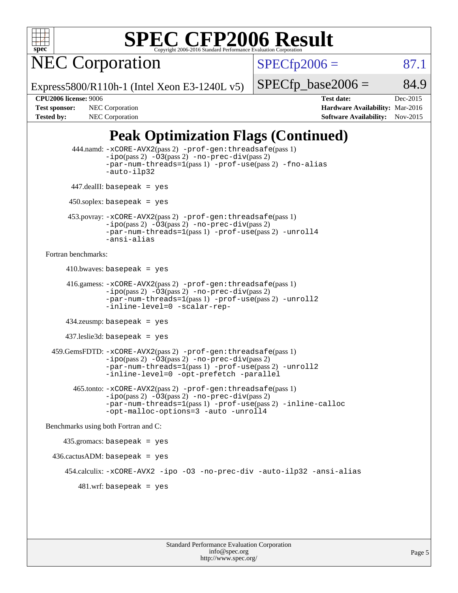

NEC Corporation

 $SPECTp2006 = 87.1$ 

Express5800/R110h-1 (Intel Xeon E3-1240L v5)

 $SPECTp\_base2006 = 84.9$ 

**[CPU2006 license:](http://www.spec.org/auto/cpu2006/Docs/result-fields.html#CPU2006license)** 9006 **[Test date:](http://www.spec.org/auto/cpu2006/Docs/result-fields.html#Testdate)** Dec-2015 **[Test sponsor:](http://www.spec.org/auto/cpu2006/Docs/result-fields.html#Testsponsor)** NEC Corporation **NEC Corporation [Hardware Availability:](http://www.spec.org/auto/cpu2006/Docs/result-fields.html#HardwareAvailability)** Mar-2016 [Tested by:](http://www.spec.org/auto/cpu2006/Docs/result-fields.html#Testedby) NEC Corporation **[Software Availability:](http://www.spec.org/auto/cpu2006/Docs/result-fields.html#SoftwareAvailability)** Nov-2015

### **[Peak Optimization Flags \(Continued\)](http://www.spec.org/auto/cpu2006/Docs/result-fields.html#PeakOptimizationFlags)**

```
 444.namd: -xCORE-AVX2(pass 2) -prof-gen:threadsafe(pass 1)
               -ipo(pass 2) -03(pass 2) -no-prec-div(pass 2)
               -par-num-threads=1(pass 1) -prof-use(pass 2) -fno-alias
               -auto-ilp32
      447.dealII: basepeak = yes
       450.soplex: basepeak = yes
      453.povray: -xCORE-AVX2(pass 2) -prof-gen:threadsafe(pass 1)
               -no-prec-div(pass 2)-par-num-threads=1(pass 1) -prof-use(pass 2) -unroll4
               -ansi-alias
Fortran benchmarks: 
     410.bwaves: basepeak = yes 416.gamess: -xCORE-AVX2(pass 2) -prof-gen:threadsafe(pass 1)
               -ipo(pass 2) -03(pass 2) -no-prec-div(pass 2)-par-num-threads=1(pass 1) -prof-use(pass 2) -unroll2
               -inline-level=0 -scalar-rep-
      434.zeusmp: basepeak = yes
      437.leslie3d: basepeak = yes
  459.GemsFDTD: -xCORE-AVX2(pass 2) -prof-gen:threadsafe(pass 1)
               -i\text{po}(pass 2) -\tilde{O}3(pass 2)-no-prec-div(pass 2)
               -par-num-threads=1(pass 1) -prof-use(pass 2) -unroll2
               -inline-level=0 -opt-prefetch -parallel
        465.tonto: -xCORE-AVX2(pass 2) -prof-gen:threadsafe(pass 1)
               -no-prec-div(pass 2)-par-num-threads=1(pass 1) -prof-use(pass 2) -inline-calloc
               -opt-malloc-options=3 -auto -unroll4
Benchmarks using both Fortran and C: 
     435.gromacs: basepeak = yes
  436.cactusADM: basepeak = yes
      454.calculix: -xCORE-AVX2 -ipo -O3 -no-prec-div -auto-ilp32 -ansi-alias
        481 \text{.m}: basepeak = yes
```